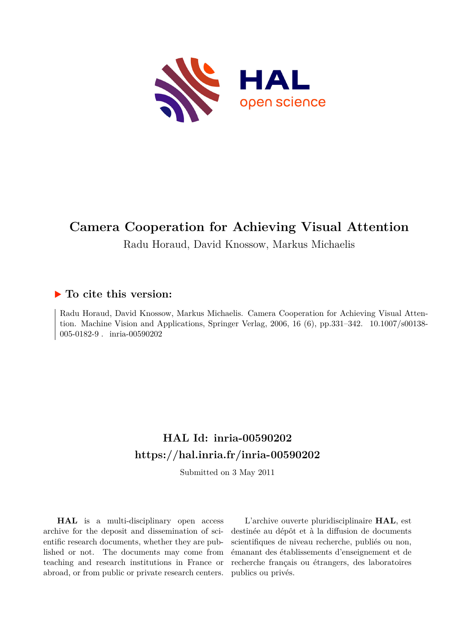

# **Camera Cooperation for Achieving Visual Attention**

Radu Horaud, David Knossow, Markus Michaelis

### **To cite this version:**

Radu Horaud, David Knossow, Markus Michaelis. Camera Cooperation for Achieving Visual Attention. Machine Vision and Applications, Springer Verlag,  $2006$ ,  $16$  (6), pp.331–342.  $10.1007/\text{s}00138$ -005-0182-9  $\ldots$  inria-00590202

# **HAL Id: inria-00590202 <https://hal.inria.fr/inria-00590202>**

Submitted on 3 May 2011

**HAL** is a multi-disciplinary open access archive for the deposit and dissemination of scientific research documents, whether they are published or not. The documents may come from teaching and research institutions in France or abroad, or from public or private research centers.

L'archive ouverte pluridisciplinaire **HAL**, est destinée au dépôt et à la diffusion de documents scientifiques de niveau recherche, publiés ou non, émanant des établissements d'enseignement et de recherche français ou étrangers, des laboratoires publics ou privés.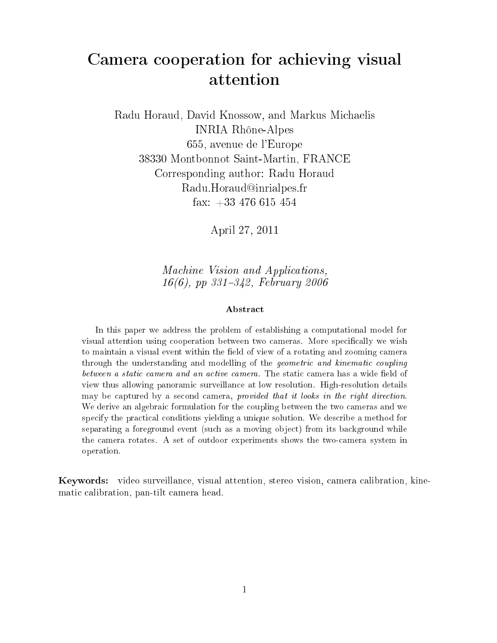# Camera ooperation for a
hieving visual

Radu Horaud, David Knossow, and Markus Mi
haelis INRIA Rhône-Alpes 655, avenue de l'Europe 38330 Montbonnot Saint-Martin, FRANCE Corresponding author: Radu Horaud Radu.Horaud@inrialpes.fr fax: +33 476 615 454

April 27, 2011

Machine Vision and Applications.  $16(6)$ , pp  $331-342$ , February 2006

### Abstra
t

In this paper we address the problem of establishing a omputational model for visual attention using cooperation between two cameras. More specifically we wish to maintain a visual event within the field of view of a rotating and zooming camera through the understanding and modelling of the *geometric and kinematic coupling* view thus allowing panoramic surveillance at low resolution. High-resolution details may be captured by a second camera, provided that it looks in the right direction. We derive an algebraic formulation for the coupling between the two cameras and we specify the practical conditions yielding a unique solution. We describe a method for separating a foreground event (such as a moving object) from its background while the amera rotates. A set of outdoor experiments shows the twoamera system in operation.

e, visual attention, stereo visual attention, stereo vision, stereo vision, stereo vision, stereo vision, ste matic calibration, pan-tilt camera head.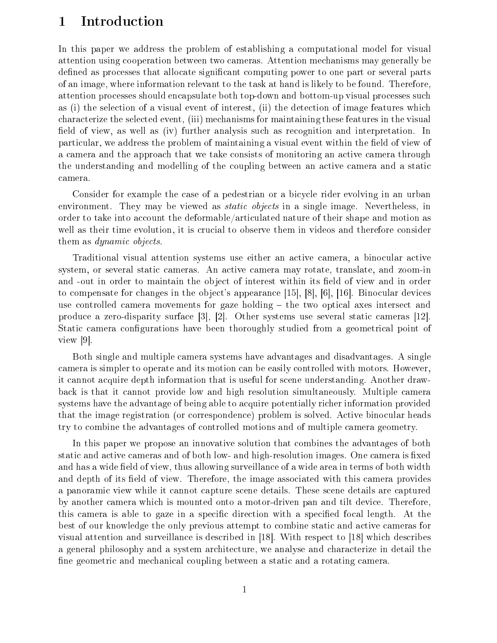# 1 Introdu
tion

In this paper we address the problem of establishing a computational model for visual attention using ooperation between two ameras. Attention me
hanisms may generally be defined as processes that allocate significant computing power to one part or several parts of an image, where information relevant to the task at hand is likely to be found. Therefore, attention pro
esses should en
apsulate both top-down and bottom-up visual pro
esses su
h as (i) the selection of a visual event of interest, (ii) the detection of image features which hara
terize the sele
ted event, (iii) me
hanisms for maintaining these features in the visual field of view, as well as (iv) further analysis such as recognition and interpretation. In particular, we address the problem of maintaining a visual event within the field of view of a camera and the approach that we take consists of monitoring an active camera through the understanding and modelling of the coupling between an active camera and a static amera.

Consider for example the case of a pedestrian or a bicycle rider evolving in an urban environment. They may be viewed as *static objects* in a single image. Nevertheless, in order to take into account the deformable/articulated nature of their shape and motion as well as their time evolution, it is crucial to observe them in videos and therefore consider them as *dynamic objects*.

Traditional visual attention systems use either an active camera, a binocular active system, or several static cameras. An active camera may rotate, translate, and zoom-in and -out in order to maintain the object of interest within its field of view and in order to compensate for changes in the object's appearance  $[15]$ ,  $[8]$ ,  $[6]$ ,  $[16]$ . Binocular devices use controlled camera movements for gaze holding – the two optical axes intersect and produce a zero-disparity surface [3], [2]. Other systems use several static cameras [12]. Static camera configurations have been thoroughly studied from a geometrical point of view  $|9|$ .

Both single and multiple amera systems have advantages and disadvantages. A single amera is simpler to operate and its motion an be easily ontrolled with motors. However, it annot a
quire depth information that is useful for s
ene understanding. Another drawba
k is that it annot provide low and high resolution simultaneously. Multiple amera systems have the advantage of being able to a
quire potentially ri
her information provided that the image registration (or correspondence) problem is solved. Active binocular heads try to ombine the advantages of ontrolled motions and of multiple amera geometry.

In this paper we propose an innovative solution that ombines the advantages of both static and active cameras and of both low- and high-resolution images. One camera is fixed and has a wide field of view, thus allowing surveillance of a wide area in terms of both width and depth of its field of view. Therefore, the image associated with this camera provides a panoramic view while it cannot capture scene details. These scene details are captured by another amera whi
h is mounted onto a motor-driven pan and tilt devi
e. Therefore, this camera is able to gaze in a specific direction with a specified focal length. At the best of our knowledge the only previous attempt to combine static and active cameras for visual attention and surveillance is described in  $\vert 18 \vert$ . With respect to  $\vert 18 \vert$  which describes a general philosophy and a system architecture, we analyse and characterize in detail the fine geometric and mechanical coupling between a static and a rotating camera.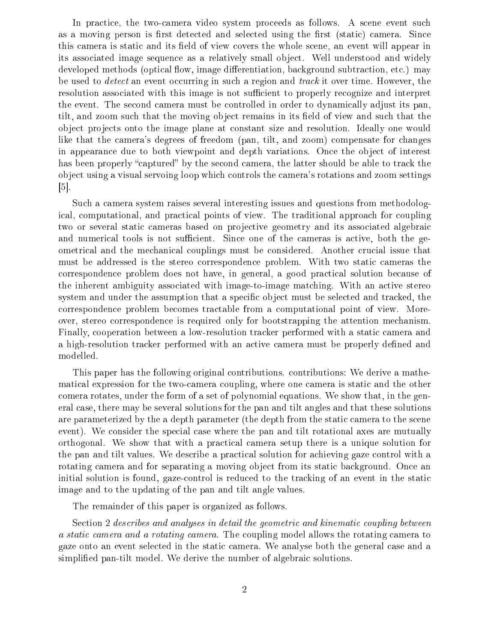In practice, the two-camera video system proceeds as follows. A scene event such as a moving person is first detected and selected using the first (static) camera. Since this camera is static and its field of view covers the whole scene, an event will appear in its associated image sequence as a relatively small object. Well understood and widely developed methods (optical flow, image differentiation, background subtraction, etc.) may be used to *detect* an event occurring in such a region and *track* it over time. However, the resolution associated with this image is not sufficient to properly recognize and interpret the event. The se
ond amera must be ontrolled in order to dynami
ally adjust its pan, tilt, and zoom such that the moving object remains in its field of view and such that the object projects onto the image plane at constant size and resolution. Ideally one would like that the camera's degrees of freedom (pan, tilt, and zoom) compensate for changes in appearance due to both viewpoint and depth variations. Once the object of interest has been properly "captured" by the second camera, the latter should be able to track the object using a visual servoing loop which controls the camera's rotations and zoom settings  $\lceil 5 \rceil$ .

Such a camera system raises several interesting issues and questions from methodological, computational, and practical points of view. The traditional approach for coupling two or several static cameras based on projective geometry and its associated algebraic and numerical tools is not sufficient. Since one of the cameras is active, both the geometri
al and the me
hani
al ouplings must be onsidered. Another ru
ial issue that must be addressed is the stereo correspondence problem. With two static cameras the orresponden
e problem does not have, in general, a good pra
ti
al solution be
ause of the inherent ambiguity associated with image-to-image matching. With an active stereo system and under the assumption that a specific object must be selected and tracked, the orresponden
e problem be
omes tra
table from a omputational point of view. Moreover, stereo orresponden
e is required only for bootstrapping the attention me
hanism. Finally, cooperation between a low-resolution tracker performed with a static camera and a high-resolution tracker performed with an active camera must be properly defined and modelled.

This paper has the following original ontributions. ontributions: We derive a mathematical expression for the two-camera coupling, where one camera is static and the other omera rotates, under the form of a set of polynomial equations. We show that, in the general ase, there may be several solutions for the pan and tilt angles and that these solutions are parameterized by the a depth parameter (the depth from the static camera to the scene event). We consider the special case where the pan and tilt rotational axes are mutually orthogonal. We show that with a pra
ti
al amera setup there is a unique solution for the pan and tilt values. We describe a practical solution for achieving gaze control with a rotating camera and for separating a moving object from its static background. Once an initial solution is found, gaze-control is reduced to the tracking of an event in the static image and to the updating of the pan and tilt angle values.

The remainder of this paper is organized as follows.

Section 2 describes and analyses in detail the geometric and kinematic coupling between a static camera and a rotating camera. The coupling model allows the rotating camera to gaze onto an event sele
ted in the stati amera. We analyse both the general ase and a simplified pan-tilt model. We derive the number of algebraic solutions.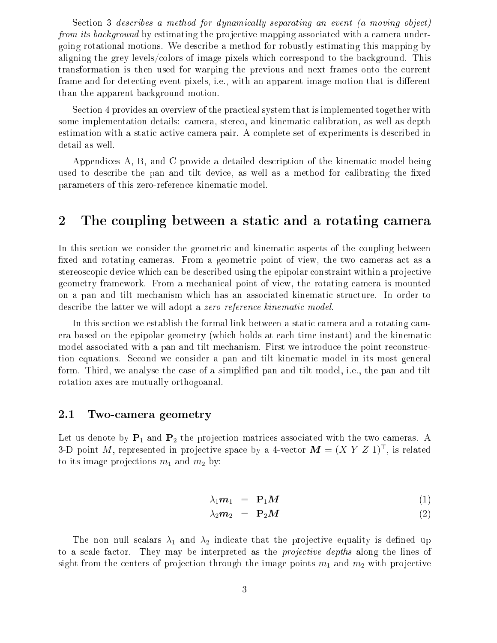Section 3 describes a method for dynamically separating an event (a moving object) from its background by estimating the projective mapping associated with a camera undergoing rotational motions. We des
ribe a method for robustly estimating this mapping by aligning the grey-levels/colors of image pixels which correspond to the background. This transformation is then used for warping the previous and next frames onto the urrent frame and for detecting event pixels, i.e., with an apparent image motion that is different than the apparent ba
kground motion.

Section 4 provides an overview of the practical system that is implemented together with some implementation details: camera, stereo, and kinematic calibration, as well as depth estimation with a static-active camera pair. A complete set of experiments is described in detail as well.

Appendices A, B, and C provide a detailed description of the kinematic model being used to describe the pan and tilt device, as well as a method for calibrating the fixed parameters of this zero-referen
e kinemati model.

### 2 The coupling between a static and a rotating camera

In this section we consider the geometric and kinematic aspects of the coupling between fixed and rotating cameras. From a geometric point of view, the two cameras act as a stereoscopic device which can be described using the epipolar constraint within a projective geometry framework. From a me
hani
al point of view, the rotating amera is mounted on a pan and tilt mechanism which has an associated kinematic structure. In order to describe the latter we will adopt a zero-reference kinematic model.

In this section we establish the formal link between a static camera and a rotating camera based on the epipolar geometry (which holds at each time instant) and the kinematic model associated with a pan and tilt mechanism. First we introduce the point reconstruction equations. Se
ond we onsider a pan and tilt kinemati model in its most general form. Third, we analyse the case of a simplified pan and tilt model, i.e., the pan and tilt rotation axes are mutually orthogoanal.

#### 2.1Twoamera geometry

Let us denote by  $P_1$  and  $P_2$  the projection matrices associated with the two cameras. A 3-D point M, represented in projective space by a 4-vector  $\mathbf{M} = (X \ Y \ Z \ 1)^{\top}$ , is related to its image projections  $m_1$  and  $m_2$  by:

$$
\lambda_1 \mathbf{m}_1 = \mathbf{P}_1 \mathbf{M} \tag{1}
$$

$$
\lambda_2 \mathbf{m}_2 = \mathbf{P}_2 \mathbf{M} \tag{2}
$$

The non null scalars  $\lambda_1$  and  $\lambda_2$  indicate that the projective equality is defined up to a scale factor. They may be interpreted as the *projective depths* along the lines of sight from the centers of projection through the image points  $m_1$  and  $m_2$  with projective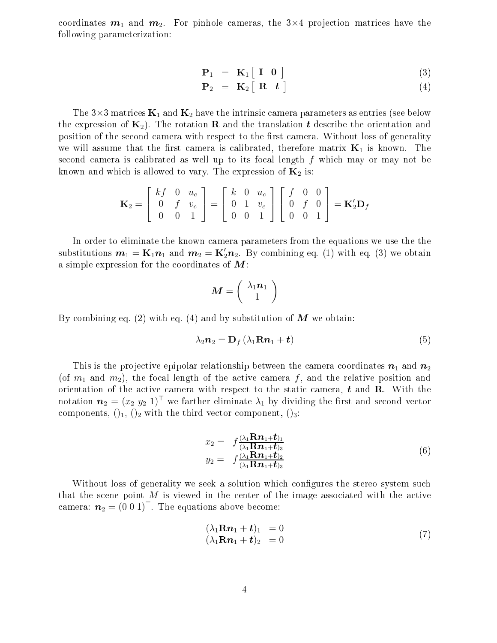coordinates  $m_1$  and  $m_2$ . For pinhole cameras, the 3×4 projection matrices have the following parameterization:

$$
\mathbf{P}_1 = \mathbf{K}_1 [\mathbf{I} \ \mathbf{0}] \tag{3}
$$

$$
\mathbf{P}_2 = \mathbf{K}_2 [\mathbf{R} \quad \mathbf{t} ] \tag{4}
$$

The  $3\times3$  matrices  $\mathbf{K}_1$  and  $\mathbf{K}_2$  have the intrinsic camera parameters as entries (see below the expression of  $K_2$ ). The rotation **R** and the translation **t** describe the orientation and position of the second camera with respect to the first camera. Without loss of generality we will assume that the first camera is calibrated, therefore matrix  $K_1$  is known. The second camera is calibrated as well up to its focal length f which may or may not be known and which is allowed to vary. The expression of  $K_2$  is:

$$
\mathbf{K}_2 = \begin{bmatrix} kf & 0 & u_c \\ 0 & f & v_c \\ 0 & 0 & 1 \end{bmatrix} = \begin{bmatrix} k & 0 & u_c \\ 0 & 1 & v_c \\ 0 & 0 & 1 \end{bmatrix} \begin{bmatrix} f & 0 & 0 \\ 0 & f & 0 \\ 0 & 0 & 1 \end{bmatrix} = \mathbf{K}_2' \mathbf{D}_f
$$

In order to eliminate the known amera parameters from the equations we use the the substitutions  $\bm{m}_1 = \mathbf{K}_1 \bm{n}_1$  and  $\bm{m}_2 = \mathbf{K}_2' \bm{n}_2$ . By combining eq. (1) with eq. (3) we obtain a simple expression for the coordinates of  $M$ :

$$
\bm{M} = \left(\begin{array}{c} \lambda_1\bm{n}_1 \\ 1 \end{array}\right)
$$

By combining eq. (2) with eq. (4) and by substitution of  $\boldsymbol{M}$  we obtain:

$$
\lambda_2 n_2 = \mathbf{D}_f \left( \lambda_1 \mathbf{R} n_1 + t \right) \tag{5}
$$

This is the projective epipolar relationship between the camera coordinates  $n_1$  and  $n_2$ (of  $m_1$  and  $m_2$ ), the focal length of the active camera f, and the relative position and orientation of the active camera with respect to the static camera,  $t$  and  $\bf R$ . With the notation  $\mathbf{n}_2 = (x_2 \ y_2 \ 1)^\top$  we farther eliminate  $\lambda_1$  by dividing the first and second vector components,  $()_1$ ,  $()_2$  with the third vector component,  $()_3$ :

$$
x_2 = f \frac{(\lambda_1 \mathbf{R} \mathbf{n}_1 + \mathbf{t})_1}{(\lambda_1 \mathbf{R} \mathbf{n}_1 + \mathbf{t})_3}
$$
  
\n
$$
y_2 = f \frac{(\lambda_1 \mathbf{R} \mathbf{n}_1 + \mathbf{t})_2}{(\lambda_1 \mathbf{R} \mathbf{n}_1 + \mathbf{t})_3}
$$
\n(6)

Without loss of generality we seek a solution which configures the stereo system such that the scene point  $M$  is viewed in the center of the image associated with the active camera:  $\mathbf{n}_2 = (0 \ 0 \ 1)^\top$ . The equations above become:

$$
(\lambda_1 \mathbf{R} \mathbf{n}_1 + \mathbf{t})_1 = 0
$$
  
\n
$$
(\lambda_1 \mathbf{R} \mathbf{n}_1 + \mathbf{t})_2 = 0
$$
\n(7)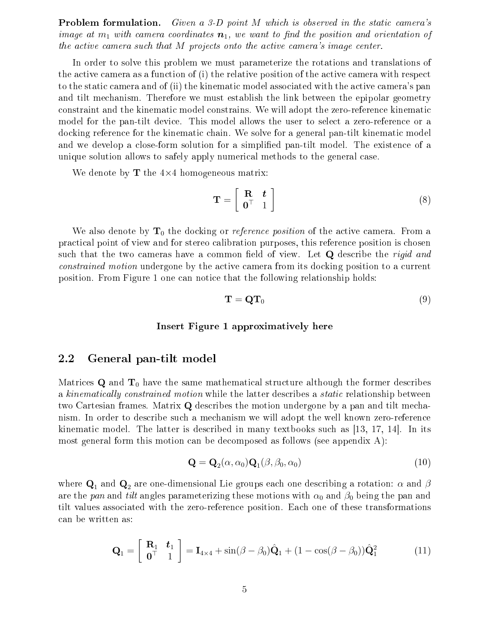**Problem formulation.** Given a 3-D point M which is observed in the static camera's image at  $m_1$  with camera coordinates  $n_1$ , we want to find the position and orientation of the active camera such that M projects onto the active camera's image center.

In order to solve this problem we must parameterize the rotations and translations of the active camera as a function of (i) the relative position of the active camera with respect to the static camera and of (ii) the kinematic model associated with the active camera's pan and tilt me
hanism. Therefore we must establish the link between the epipolar geometry constraint and the kinematic model constrains. We will adopt the zero-reference kinematic model for the pan-tilt device. This model allows the user to select a zero-reference or a docking reference for the kinematic chain. We solve for a general pan-tilt kinematic model and we develop a close-form solution for a simplified pan-tilt model. The existence of a unique solution allows to safely apply numerical methods to the general case.

We denote by  $T$  the  $4\times4$  homogeneous matrix:

$$
\mathbf{T} = \left[ \begin{array}{cc} \mathbf{R} & \mathbf{t} \\ \mathbf{0}^\top & 1 \end{array} \right] \tag{8}
$$

We also denote by  $T_0$  the docking or *reference position* of the active camera. From a pra
ti
al point of view and for stereo alibration purposes, this referen
e position is hosen such that the two cameras have a common field of view. Let  $Q$  describe the *rigid and* constrained motion undergone by the active camera from its docking position to a current position. From Figure 1 one an noti
e that the following relationship holds:

$$
\mathbf{T} = \mathbf{Q}\mathbf{T}_0 \tag{9}
$$

### Insert Figure <sup>1</sup> approximatively here

#### 2.2General pan-tilt model

Matrices  $Q$  and  $T_0$  have the same mathematical structure although the former describes a kinematically constrained motion while the latter describes a *static* relationship between two Cartesian frames. Matrix <sup>Q</sup> des
ribes the motion undergone by a pan and tilt me
hanism. In order to des
ribe su
h a me
hanism we will adopt the well known zero-referen
e kinematic model. The latter is described in many textbooks such as  $[13, 17, 14]$ . In its most general form this motion an be de
omposed as follows (see appendix A):

$$
\mathbf{Q} = \mathbf{Q}_2(\alpha, \alpha_0) \mathbf{Q}_1(\beta, \beta_0, \alpha_0) \tag{10}
$$

where  $\mathbf{Q}_1$  and  $\mathbf{Q}_2$  are one-dimensional Lie groups each one describing a rotation:  $\alpha$  and  $\beta$ are the pan and tilt angles parameterizing these motions with  $\alpha_0$  and  $\beta_0$  being the pan and tilt values asso
iated with the zero-referen
e position. Ea
h one of these transformations an be written as:

$$
\mathbf{Q}_1 = \begin{bmatrix} \mathbf{R}_1 & \mathbf{t}_1 \\ \mathbf{0}^\top & 1 \end{bmatrix} = \mathbf{I}_{4 \times 4} + \sin(\beta - \beta_0)\hat{\mathbf{Q}}_1 + (1 - \cos(\beta - \beta_0))\hat{\mathbf{Q}}_1^2 \tag{11}
$$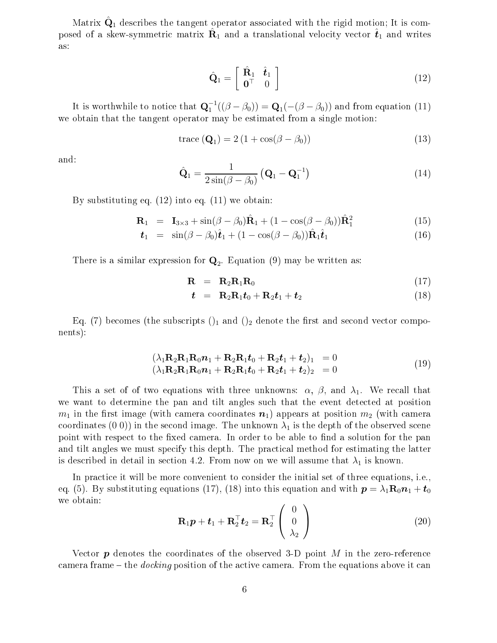Matrix  $\hat{\mathbf{Q}}_1$  describes the tangent operator associated with the rigid motion; It is composed of a skew-symmetric matrix  $\hat{\mathbf{R}}_1$  and a translational velocity vector  $\hat{\boldsymbol{t}}_1$  and writes as:

$$
\hat{\mathbf{Q}}_1 = \left[ \begin{array}{cc} \hat{\mathbf{R}}_1 & \hat{\boldsymbol{t}}_1 \\ \mathbf{0}^\top & 0 \end{array} \right] \tag{12}
$$

It is worthwhile to notice that  $\mathbf{Q}_1^{-1}((\beta-\beta_0)) = \mathbf{Q}_1(-(\beta-\beta_0))$  and from equation (11) we obtain that the tangent operator may be estimated from a single motion:

$$
trace (\mathbf{Q}_1) = 2 (1 + cos(\beta - \beta_0))
$$
\n(13)

and:

$$
\hat{\mathbf{Q}}_1 = \frac{1}{2\sin(\beta - \beta_0)} \left( \mathbf{Q}_1 - \mathbf{Q}_1^{-1} \right)
$$
\n(14)

By substituting eq. (12) into eq. (11) we obtain:

$$
\mathbf{R}_1 = \mathbf{I}_{3\times 3} + \sin(\beta - \beta_0)\hat{\mathbf{R}}_1 + (1 - \cos(\beta - \beta_0))\hat{\mathbf{R}}_1^2
$$
(15)

$$
\boldsymbol{t}_1 = \sin(\beta - \beta_0)\hat{\boldsymbol{t}}_1 + (1 - \cos(\beta - \beta_0))\hat{\mathbf{R}}_1\hat{\boldsymbol{t}}_1 \tag{16}
$$

There is a similar expression for  $\mathbf{Q}_2$ . Equation (9) may be written as.

$$
\mathbf{R} = \mathbf{R}_2 \mathbf{R}_1 \mathbf{R}_0 \tag{17}
$$

$$
t = R_2R_1t_0 + R_2t_1 + t_2 \tag{18}
$$

Eq. (7) becomes (the subscripts  $()_1$  and  $()_2$  denote the first and second vector components):

$$
(\lambda_1 \mathbf{R}_2 \mathbf{R}_1 \mathbf{R}_0 \mathbf{n}_1 + \mathbf{R}_2 \mathbf{R}_1 \mathbf{t}_0 + \mathbf{R}_2 \mathbf{t}_1 + \mathbf{t}_2)_1 = 0
$$
  
\n
$$
(\lambda_1 \mathbf{R}_2 \mathbf{R}_1 \mathbf{R}_0 \mathbf{n}_1 + \mathbf{R}_2 \mathbf{R}_1 \mathbf{t}_0 + \mathbf{R}_2 \mathbf{t}_1 + \mathbf{t}_2)_2 = 0
$$
\n(19)

This a set of of two equations with three unknowns:  $\alpha$ ,  $\beta$ , and  $\lambda_1$ . We recall that we want to determine the pan and tilt angles such that the event detected at position  $m_1$  in the first image (with camera coordinates  $n_1$ ) appears at position  $m_2$  (with camera coordinates (0 0)) in the second image. The unknown  $\lambda_1$  is the depth of the observed scene point with respect to the fixed camera. In order to be able to find a solution for the pan and tilt angles we must specify this depth. The practical method for estimating the latter is described in detail in section 4.2. From now on we will assume that  $\lambda_1$  is known.

In practice it will be more convenient to consider the initial set of three equations, i.e., eq. (5). By substituting equations (17), (18) into this equation and with  $p = \lambda_1 \mathbf{R}_0 \mathbf{n}_1 + \mathbf{t}_0$ we obtain:

$$
\mathbf{R}_1 \mathbf{p} + \mathbf{t}_1 + \mathbf{R}_2^\top \mathbf{t}_2 = \mathbf{R}_2^\top \begin{pmatrix} 0 \\ 0 \\ \lambda_2 \end{pmatrix}
$$
 (20)

Vector  $p$  denotes the coordinates of the observed 3-D point M in the zero-reference camera frame  $-$  the *docking* position of the active camera. From the equations above it can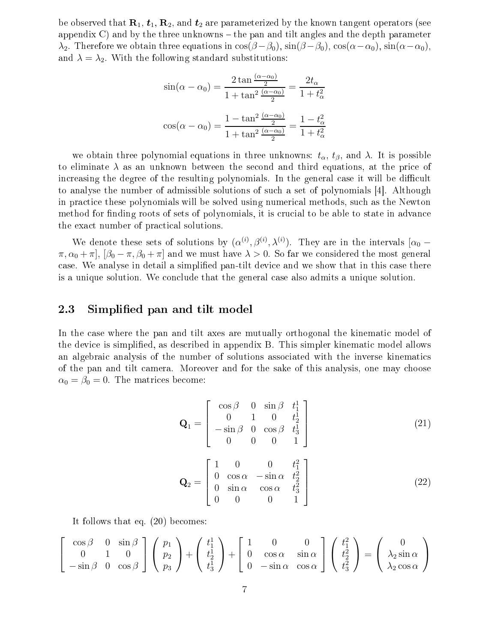be observed that  $\mathbf{R}_1, t_1, \mathbf{R}_2$ , and  $t_2$  are parameterized by the known tangent operators (see appendix  $C$ ) and by the three unknowns – the pan and tilt angles and the depth parameter  $\lambda_2$ . Therefore we obtain three equations in  $\cos(\beta-\beta_0)$ ,  $\sin(\beta-\beta_0)$ ,  $\cos(\alpha-\alpha_0)$ ,  $\sin(\alpha-\alpha_0)$ , and  $\lambda = \lambda_2$ . With the following standard substitutions:

$$
\sin(\alpha - \alpha_0) = \frac{2 \tan \frac{(\alpha - \alpha_0)}{2}}{1 + \tan^2 \frac{(\alpha - \alpha_0)}{2}} = \frac{2t_\alpha}{1 + t_\alpha^2}
$$

$$
\cos(\alpha - \alpha_0) = \frac{1 - \tan^2 \frac{(\alpha - \alpha_0)}{2}}{1 + \tan^2 \frac{(\alpha - \alpha_0)}{2}} = \frac{1 - t_\alpha^2}{1 + t_\alpha^2}
$$

we obtain three polynomial equations in three unknowns:  $t_{\alpha}$ ,  $t_{\beta}$ , and  $\lambda$ . It is possible to eliminate  $\lambda$  as an unknown between the second and third equations, at the price of increasing the degree of the resulting polynomials. In the general case it will be difficult to analyse the number of admissible solutions of such a set of polynomials  $|4|$ . Although in pra
ti
e these polynomials will be solved using numeri
al methods, su
h as the Newton method for finding roots of sets of polynomials, it is crucial to be able to state in advance the exact number of practical solutions.

We denote these sets of solutions by  $(\alpha^{(i)}, \beta^{(i)}, \lambda^{(i)})$ . They are in the intervals  $[\alpha_0 \pi, \alpha_0 + \pi$ ,  $[\beta_0 - \pi, \beta_0 + \pi]$  and we must have  $\lambda > 0$ . So far we considered the most general case. We analyse in detail a simplified pan-tilt device and we show that in this case there is a unique solution. We conclude that the general case also admits a unique solution.

#### 2.3Simplied pan and tilt model

In the case where the pan and tilt axes are mutually orthogonal the kinematic model of the device is simplified, as described in appendix B. This simpler kinematic model allows an algebraic analysis of the number of solutions associated with the inverse kinematics of the pan and tilt amera. Moreover and for the sake of this analysis, one may hoose  $\alpha_0 = \beta_0 = 0$ . The matrices become:

$$
\mathbf{Q}_1 = \begin{bmatrix} \cos \beta & 0 & \sin \beta & t_1^1 \\ 0 & 1 & 0 & t_2^1 \\ -\sin \beta & 0 & \cos \beta & t_3^1 \\ 0 & 0 & 0 & 1 \end{bmatrix}
$$
 (21)

$$
\mathbf{Q}_2 = \begin{bmatrix} 1 & 0 & 0 & t_1^2 \\ 0 & \cos \alpha & -\sin \alpha & t_2^2 \\ 0 & \sin \alpha & \cos \alpha & t_3^2 \\ 0 & 0 & 0 & 1 \end{bmatrix}
$$
(22)

It follows that eq.  $(20)$  becomes:

$$
\begin{bmatrix}\n\cos \beta & 0 & \sin \beta \\
0 & 1 & 0 \\
-\sin \beta & 0 & \cos \beta\n\end{bmatrix}\n\begin{pmatrix}\np_1 \\
p_2 \\
p_3\n\end{pmatrix} +\n\begin{pmatrix}\nt_1^1 \\
t_2^1 \\
t_3^1\n\end{pmatrix} +\n\begin{bmatrix}\n1 & 0 & 0 \\
0 & \cos \alpha & \sin \alpha \\
0 & -\sin \alpha & \cos \alpha\n\end{bmatrix}\n\begin{pmatrix}\nt_1^2 \\
t_2^2 \\
t_3^2\n\end{pmatrix} =\n\begin{pmatrix}\n0 \\
\lambda_2 \sin \alpha \\
\lambda_2 \cos \alpha\n\end{pmatrix}
$$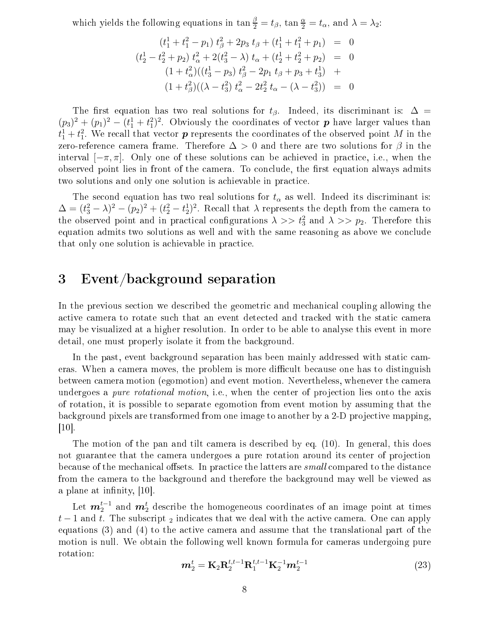which yields the following equations in  $\tan \frac{\beta}{2} = t_{\beta}$ ,  $\tan \frac{\alpha}{2} = t_{\alpha}$ , and  $\lambda = \lambda_2$ :

$$
(t_1^1 + t_1^2 - p_1) t_\beta^2 + 2p_3 t_\beta + (t_1^1 + t_1^2 + p_1) = 0
$$
  
\n
$$
(t_2^1 - t_2^2 + p_2) t_\alpha^2 + 2(t_3^2 - \lambda) t_\alpha + (t_2^1 + t_2^2 + p_2) = 0
$$
  
\n
$$
(1 + t_\alpha^2)((t_3^1 - p_3) t_\beta^2 - 2p_1 t_\beta + p_3 + t_3^1) + (1 + t_\beta^2)((\lambda - t_3^2) t_\alpha^2 - 2t_2^2 t_\alpha - (\lambda - t_3^2)) = 0
$$

The first equation has two real solutions for  $t_\beta$ . Indeed, its discriminant is:  $\Delta =$  $(p_3)^2 + (p_1)^2 - (t_1^1 + t_1^2)^2$ . Obviously the coordinates of vector **p** have larger values than  $t_1^1 + t_1^2$ . We recall that vector  $\boldsymbol{p}$  represents the coordinates of the observed point  $M$  in the zero-reference camera frame. Therefore  $\Delta > 0$  and there are two solutions for  $\beta$  in the interval  $[-\pi, \pi]$ . Only one of these solutions can be achieved in practice, i.e., when the observed point lies in front of the camera. To conclude, the first equation always admits two solutions and only one solution is achievable in practice.

The second equation has two real solutions for  $t_{\alpha}$  as well. Indeed its discriminant is:  $\Delta = (t_3^2 - \lambda)^2 - (p_2)^2 + (t_2^2 - t_2^1)^2$ . Recall that  $\lambda$  represents the depth from the camera to the observed point and in practical configurations  $\lambda \gg t_3^2$  and  $\lambda \gg p_2$ . Therefore this equation admits two solutions as well and with the same reasoning as above we conclude that only one solution is achievable in practice.

# 3 Event/ba
kground separation

In the previous section we described the geometric and mechanical coupling allowing the active camera to rotate such that an event detected and tracked with the static camera may be visualized at a higher resolution. In order to be able to analyse this event in more detail, one must properly isolate it from the background.

In the past, event background separation has been mainly addressed with static cameras. When a camera moves, the problem is more difficult because one has to distinguish between amera motion (egomotion) and event motion. Nevertheless, whenever the amera undergoes a *pure rotational motion*, i.e., when the center of projection lies onto the axis of rotation, it is possible to separate egomotion from event motion by assuming that the ba
kground pixels are transformed from one image to another by a 2-D proje
tive mapping,  $[10]$ .

The motion of the pan and tilt camera is described by eq. (10). In general, this does not guarantee that the amera undergoes a pure rotation around its enter of proje
tion because of the mechanical offsets. In practice the latters are *small* compared to the distance from the amera to the ba
kground and therefore the ba
kground may well be viewed as a plane at infinity,  $[10]$ .

Let  $\bm{m}_2^{t-1}$  and  $\bm{m}_2^t$  describe the homogeneous coordinates of an image point at times  $t-1$  and t. The subscript <sub>2</sub> indicates that we deal with the active camera. One can apply equations (3) and (4) to the active camera and assume that the translational part of the motion is null. We obtain the following well known formula for cameras undergoing pure rotation:

$$
m_2^t = \mathbf{K}_2 \mathbf{R}_2^{t,t-1} \mathbf{R}_1^{t,t-1} \mathbf{K}_2^{-1} \mathbf{m}_2^{t-1}
$$
\n(23)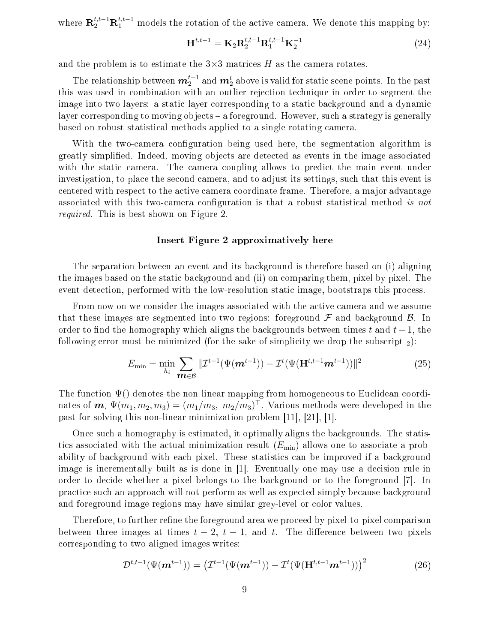where  $\mathbf{R}_2^{t,t-1}\mathbf{R}_1^{t,t-1}$  models the rotation of the active camera. We denote this mapping by:

$$
\mathbf{H}^{t,t-1} = \mathbf{K}_2 \mathbf{R}_2^{t,t-1} \mathbf{R}_1^{t,t-1} \mathbf{K}_2^{-1}
$$
 (24)

and the problem is to estimate the  $3\times3$  matrices H as the camera rotates.

The relationship between  $\bm{m}_2^{t-1}$  and  $\bm{m}_2^t$  above is valid for static scene points. In the past this was used in combination with an outlier rejection technique in order to segment the image into two layers: a static layer corresponding to a static background and a dynamic layer corresponding to moving objects – a foreground. However, such a strategy is generally based on robust statisti
al methods applied to a single rotating amera.

With the two-camera configuration being used here, the segmentation algorithm is greatly simplified. Indeed, moving objects are detected as events in the image associated with the static camera. The camera coupling allows to predict the main event under investigation, to place the second camera, and to adjust its settings, such that this event is entered with respe
t to the a
tive amera oordinate frame. Therefore, a major advantage associated with this two-camera configuration is that a robust statistical method is not required. This is best shown on Figure 2.

### Insert Figure 2 approximative 2 approximative 2 approximative 2 approximative 2 approximative 2 approximative

The separation between an event and its ba
kground is therefore based on (i) aligning the images based on the static background and (ii) on comparing them, pixel by pixel. The event detection, performed with the low-resolution static image, bootstraps this process.

From now on we consider the images associated with the active camera and we assume that these images are segmented into two regions: foreground  $\mathcal F$  and background  $\mathcal B$ . In order to find the homography which aligns the backgrounds between times t and  $t-1$ , the following error must be minimized (for the sake of simplicity we drop the subscript  $_2$ ):

$$
E_{\min} = \min_{h_i} \sum_{\mathbf{m} \in \mathcal{B}} \|\mathcal{I}^{t-1}(\Psi(\mathbf{m}^{t-1})) - \mathcal{I}^t(\Psi(\mathbf{H}^{t,t-1}\mathbf{m}^{t-1}))\|^2
$$
(25)

The function  $\Psi$  denotes the non linear mapping from homogeneous to Euclidean coordinates of  $\bm{m},\,\Psi(m_1,m_2,m_3)=(m_1/m_3,\ m_2/m_3)^{\top}.$  Various methods were developed in the past for solving this non-linear minimization problem [11], [21], [1].

On
e su
h a homography is estimated, it optimally aligns the ba
kgrounds. The statistics associated with the actual minimization result  $(E_{min})$  allows one to associate a probability of background with each pixel. These statistics can be improved if a background image is incrementally built as is done in [1]. Eventually one may use a decision rule in order to decide whether a pixel belongs to the background or to the foreground [7]. In pra
ti
e su
h an approa
h will not perform as well as expe
ted simply be
ause ba
kground and foreground image regions may have similar grey-level or color values.

Therefore, to further refine the foreground area we proceed by pixel-to-pixel comparison between three images at times  $t-2$ ,  $t-1$ , and t. The difference between two pixels orresponding to two aligned images writes:

$$
\mathcal{D}^{t,t-1}(\Psi(\mathbf{m}^{t-1})) = (\mathcal{I}^{t-1}(\Psi(\mathbf{m}^{t-1})) - \mathcal{I}^t(\Psi(\mathbf{H}^{t,t-1}\mathbf{m}^{t-1})))^2
$$
\n(26)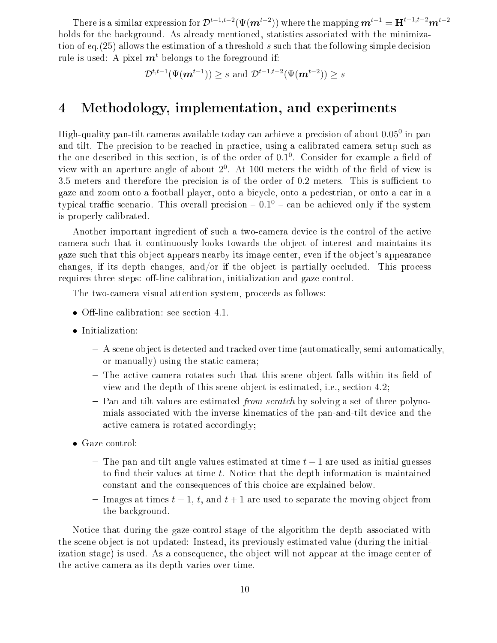There is a similar expression for  $\mathcal{D}^{t-1,t-2}(\Psi(\boldsymbol{m}^{t-2}))$  where the mapping  $\boldsymbol{m}^{t-1}=\textbf{H}^{t-1,t-2}\boldsymbol{m}^{t-2}$ holds for the background. As already mentioned, statistics associated with the minimization of eq.  $(25)$  allows the estimation of a threshold s such that the following simple decision rule is used: A pixel  $m<sup>t</sup>$  belongs to the foreground if:

 $\mathcal{D}^{t,t-1}(\Psi(\mathbf{m}^{t-1})) \geq s$  and  $\mathcal{D}^{t-1,t-2}(\Psi(\mathbf{m}^{t-2})) \geq s$ 

# 4 Methodology, implementation, and experiments

High-quality pan-tilt cameras available today can achieve a precision of about 0.05<sup>0</sup> in pan and tilt. The precision to be reached in practice, using a calibrated camera setup such as the one described in this section, is of the order of  $0.1^0$ . Consider for example a field of view with an aperture angle of about  $2^0$ . At 100 meters the width of the field of view is 3.5 meters and therefore the precision is of the order of 0.2 meters. This is sufficient to gaze and zoom onto a football player, onto a bi
y
le, onto a pedestrian, or onto a ar in a typical traffic scenario. This overall precision  $-0.1^0$  – can be achieved only if the system is properly alibrated.

Another important ingredient of such a two-camera device is the control of the active camera such that it continuously looks towards the object of interest and maintains its gaze such that this object appears nearby its image center, even if the object's appearance changes, if its depth changes, and/or if the object is partially occluded. This process requires three steps: off-line calibration, initialization and gaze control.

The two-camera visual attention system, proceeds as follows:

- Off-line calibration: see section 4.1.
- Initialization:
	- t is detected and the time time time over the semi-ally, semi-automatic processes the complete  $\mathcal{A}$ or manually) using the static camera;
	- tive and the subsettion in this subset that the subset of prior except the second the second of the second of view and the depth of this scene object is estimated, i.e., section 4.2;
	- Pan and tilt values are estimated from s
	rat
	h by solving a set of three polynomials asso
	iated with the inverse kinemati
	s of the pan-and-tilt devi
	e and the active camera is rotated accordingly;
- Gaze control:
	- $-$  The pan and tilt angle values estimated at time  $t-1$  are used as initial guesses to find their values at time  $t$ . Notice that the depth information is maintained onstant and the onsequen
	es of this hoi
	e are explained below.
	- $-I$  Images at times  $t-1$ ,  $t$ , and  $t+1$  are used to separate the moving object from the ba
	kground.

Notice that during the gaze-control stage of the algorithm the depth associated with the scene object is not updated: Instead, its previously estimated value (during the initialization stage) is used. As a consequence, the object will not appear at the image center of the a
tive amera as its depth varies over time.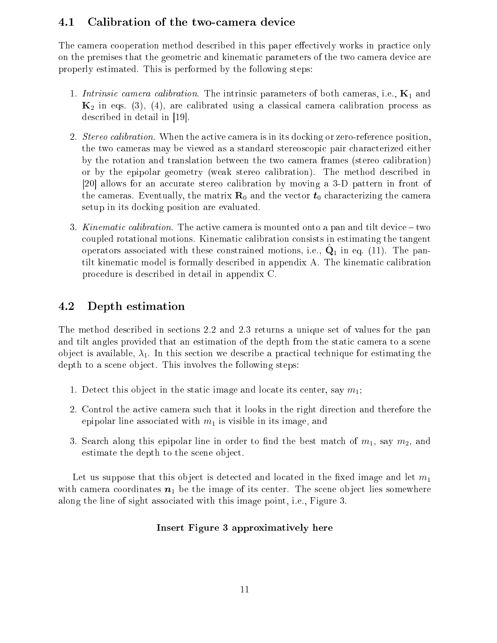#### 4.1Calibration of the twoamera devi
e

The camera cooperation method described in this paper effectively works in practice only on the premises that the geometric and kinematic parameters of the two camera device are properly estimated. This is performed by the following steps:

- 1. Intrinsic camera calibration. The intrinsic parameters of both cameras, i.e.,  $K_1$  and  $K_2$  in eqs. (3), (4), are calibrated using a classical camera calibration process as described in detail in [19].
- 2. Stereo calibration. When the active camera is in its docking or zero-reference position. the two cameras may be viewed as a standard stereoscopic pair characterized either by the rotation and translation between the two amera frames (stereo alibration) or by the epipolar geometry (weak stereo alibration). The method des
ribed in [20] allows for an accurate stereo calibration by moving a 3-D pattern in front of the cameras. Eventually, the matrix  $\mathbf{R}_0$  and the vector  $t_0$  characterizing the camera setup in its do
king position are evaluated.
- 3. Kinematic calibration. The active camera is mounted onto a pan and tilt device  $-\text{two}$ oupled rotational motions. Kinemati alibration onsists in estimating the tangent operators associated with these constrained motions, i.e.,  $\hat{\mathbf{Q}}_1$  in eq. (11). The pantilt kinematic model is formally described in appendix A. The kinematic calibration pro
edure is des
ribed in detail in appendix C.

#### 4.2Depth estimation

The method described in sections 2.2 and 2.3 returns a unique set of values for the pan and tilt angles provided that an estimation of the depth from the static camera to a scene object is available,  $\lambda_1$ . In this section we describe a practical technique for estimating the depth to a scene object. This involves the following steps:

- 1. Detect this object in the static image and locate its center, say  $m_1$ ;
- 2. Control the active camera such that it looks in the right direction and therefore the epipolar line associated with  $m_1$  is visible in its image, and
- 3. Search along this epipolar line in order to find the best match of  $m_1$ , say  $m_2$ , and estimate the depth to the scene object.

Let us suppose that this object is detected and located in the fixed image and let  $m_1$ with camera coordinates  $n_1$  be the image of its center. The scene object lies somewhere along the line of sight asso
iated with this image point, i.e., Figure 3.

### Insert Figure 3 approximation 3 approximation 3 approximation 3 approximation 3 approximation 3 approximation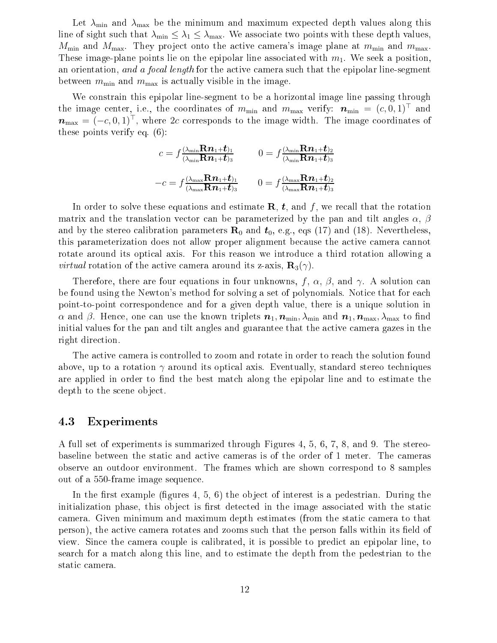Let  $\lambda_{\min}$  and  $\lambda_{\max}$  be the minimum and maximum expected depth values along this line of sight such that  $\lambda_{\min} \leq \lambda_1 \leq \lambda_{\max}$ . We associate two points with these depth values,  $M_{\text{min}}$  and  $M_{\text{max}}$ . They project onto the active camera's image plane at  $m_{\text{min}}$  and  $m_{\text{max}}$ . These image-plane points lie on the epipolar line associated with  $m_1$ . We seek a position, an orientation, and a focal length for the active camera such that the epipolar line-segment between  $m_{\text{min}}$  and  $m_{\text{max}}$  is actually visible in the image.

We constrain this epipolar line-segment to be a horizontal image line passing through the image center, i.e., the coordinates of  $m_{\text{min}}$  and  $m_{\text{max}}$  verify:  $\boldsymbol{n}_{\text{min}} = (c, 0, 1)^{\top}$  and  $\boldsymbol{n}_{\text{max}} = (-c, 0, 1)^{\top}$ , where 2c corresponds to the image width. The image coordinates of these points verify eq. (6):

$$
c = f \frac{(\lambda_{\min} \mathbf{R} \mathbf{n}_1 + \mathbf{t})_1}{(\lambda_{\min} \mathbf{R} \mathbf{n}_1 + \mathbf{t})_3} \qquad 0 = f \frac{(\lambda_{\min} \mathbf{R} \mathbf{n}_1 + \mathbf{t})_2}{(\lambda_{\min} \mathbf{R} \mathbf{n}_1 + \mathbf{t})_3}
$$

$$
-c = f \frac{(\lambda_{\max} \mathbf{R} \mathbf{n}_1 + \mathbf{t})_1}{(\lambda_{\max} \mathbf{R} \mathbf{n}_1 + \mathbf{t})_3} \qquad 0 = f \frac{(\lambda_{\max} \mathbf{R} \mathbf{n}_1 + \mathbf{t})_2}{(\lambda_{\max} \mathbf{R} \mathbf{n}_1 + \mathbf{t})_3}
$$

In order to solve these equations and estimate  $\mathbf{R}, t$ , and f, we recall that the rotation matrix and the translation vector can be parameterized by the pan and tilt angles  $\alpha$ ,  $\beta$ and by the stereo calibration parameters  $\mathbf{R}_0$  and  $t_0$ , e.g., eqs (17) and (18). Nevertheless, this parameterization does not allow proper alignment because the active camera cannot rotate around its optical axis. For this reason we introduce a third rotation allowing a *virtual* rotation of the active camera around its z-axis,  $\mathbf{R}_3(\gamma)$ .

Therefore, there are four equations in four unknowns, f,  $\alpha$ ,  $\beta$ , and  $\gamma$ . A solution can be found using the Newton's method for solving a set of polynomials. Notice that for each point-to-point orresponden
e and for a given depth value, there is a unique solution in  $\alpha$  and  $\beta$ . Hence, one can use the known triplets  $\bm{n}_1, \bm{n}_{\min}, \lambda_{\min}$  and  $\bm{n}_1, \bm{n}_{\max}, \lambda_{\max}$  to find initial values for the pan and tilt angles and guarantee that the active camera gazes in the right direction.

The active camera is controlled to zoom and rotate in order to reach the solution found above, up to a rotation  $\gamma$  around its optical axis. Eventually, standard stereo techniques are applied in order to find the best match along the epipolar line and to estimate the depth to the scene object.

#### 4.3Experiments

A full set of experiments is summarized through Figures 4, 5, 6, 7, 8, and 9. The stereobaseline between the stati and a
tive ameras is of the order of 1 meter. The ameras observe an outdoor environment. The frames whi
h are shown orrespond to 8 samples out of a 550-frame image sequen
e.

In the first example (figures 4, 5, 6) the object of interest is a pedestrian. During the initialization phase, this object is first detected in the image associated with the static camera. Given minimum and maximum depth estimates (from the static camera to that person), the active camera rotates and zooms such that the person falls within its field of view. Sin
e the amera ouple is alibrated, it is possible to predi
t an epipolar line, to sear
h for a mat
h along this line, and to estimate the depth from the pedestrian to the static camera.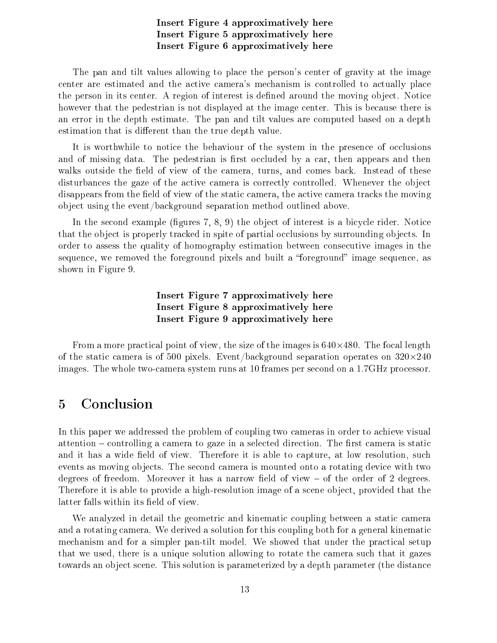### Insert Figure <sup>4</sup> approximatively here Insert Figure <sup>5</sup> approximatively here Insert Figure <sup>6</sup> approximatively here

The pan and tilt values allowing to pla
e the person's enter of gravity at the image center are estimated and the active camera's mechanism is controlled to actually place the person in its center. A region of interest is defined around the moving object. Notice however that the pedestrian is not displayed at the image center. This is because there is an error in the depth estimate. The pan and tilt values are omputed based on a depth estimation that is different than the true depth value.

It is worthwhile to notice the behaviour of the system in the presence of occlusions and of missing data. The pedestrian is first occluded by a car, then appears and then walks outside the field of view of the camera, turns, and comes back. Instead of these disturbances the gaze of the active camera is correctly controlled. Whenever the object disappears from the field of view of the static camera, the active camera tracks the moving object using the event/background separation method outlined above.

In the second example (figures 7, 8, 9) the object of interest is a bicycle rider. Notice that the object is properly tracked in spite of partial occlusions by surrounding objects. In order to assess the quality of homography estimation between consecutive images in the sequence, we removed the foreground pixels and built a "foreground" image sequence, as shown in Figure 9.

> Insert Figure <sup>7</sup> approximatively here Insert Figure <sup>8</sup> approximatively here Insert Figure <sup>9</sup> approximatively here

From a more practical point of view, the size of the images is  $640\times480$ . The focal length of the static camera is of 500 pixels. Event/background separation operates on  $320\times240$ images. The whole two-camera system runs at 10 frames per second on a 1.7GHz processor.

#### **Conclusion**  $\overline{5}$

In this paper we addressed the problem of coupling two cameras in order to achieve visual attention – controlling a camera to gaze in a selected direction. The first camera is static and it has a wide field of view. Therefore it is able to capture, at low resolution, such events as moving objects. The second camera is mounted onto a rotating device with two degrees of freedom. Moreover it has a narrow field of view  $-$  of the order of 2 degrees. Therefore it is able to provide a high-resolution image of a scene object, provided that the latter falls within its field of view.

We analyzed in detail the geometric and kinematic coupling between a static camera and a rotating camera. We derived a solution for this coupling both for a general kinematic mechanism and for a simpler pan-tilt model. We showed that under the practical setup that we used, there is a unique solution allowing to rotate the amera su
h that it gazes towards an object scene. This solution is parameterized by a depth parameter (the distance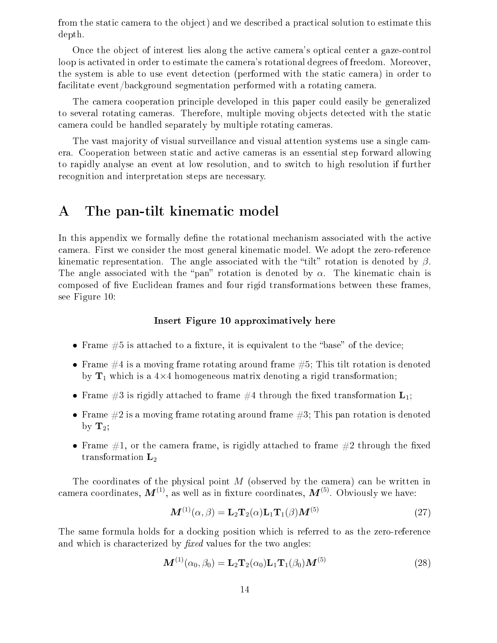from the static camera to the object) and we described a practical solution to estimate this depth.

Once the object of interest lies along the active camera's optical center a gaze-control loop is activated in order to estimate the camera's rotational degrees of freedom. Moreover, the system is able to use event detection (performed with the static camera) in order to facilitate event/background segmentation performed with a rotating camera.

The amera ooperation prin
iple developed in this paper ould easily be generalized to several rotating cameras. Therefore, multiple moving objects detected with the static amera ould be handled separately by multiple rotating ameras.

The vast majority of visual surveillance and visual attention systems use a single camera. Cooperation between stati and a
tive ameras is an essential step forward allowing to rapidly analyse an event at low resolution, and to swit
h to high resolution if further recognition and interpretation steps are necessary.

# A The pan-tilt kinemati model

In this appendix we formally define the rotational mechanism associated with the active camera. First we consider the most general kinematic model. We adopt the zero-reference kinematic representation. The angle associated with the "tilt" rotation is denoted by  $\beta$ . The angle associated with the "pan" rotation is denoted by  $\alpha$ . The kinematic chain is composed of five Euclidean frames and four rigid transformations between these frames, see Figure 10:

### Insert Figure <sup>10</sup> approximatively here

- Frame  $#5$  is attached to a fixture, it is equivalent to the "base" of the device;
- Frame  $\#4$  is a moving frame rotating around frame  $\#5$ ; This tilt rotation is denoted by  $T_1$  which is a 4×4 homogeneous matrix denoting a rigid transformation;
- Frame #3 is rigidly attached to frame #4 through the fixed transformation  $L_1$ ;
- Frame  $\#2$  is a moving frame rotating around frame  $\#3$ ; This pan rotation is denoted by  $\mathbf{T}_2$ ;
- Frame  $\#1$ , or the camera frame, is rigidly attached to frame  $\#2$  through the fixed transformation  $L_2$

The coordinates of the physical point  $M$  (observed by the camera) can be written in camera coordinates,  $\boldsymbol{M}^{(1)},$  as well as in fixture coordinates,  $\boldsymbol{M}^{(5)}$ . Obviously we have:

$$
\mathbf{M}^{(1)}(\alpha,\beta) = \mathbf{L}_2 \mathbf{T}_2(\alpha) \mathbf{L}_1 \mathbf{T}_1(\beta) \mathbf{M}^{(5)} \tag{27}
$$

The same formula holds for a docking position which is referred to as the zero-reference and which is characterized by *fixed* values for the two angles:

$$
\mathbf{M}^{(1)}(\alpha_0, \beta_0) = \mathbf{L}_2 \mathbf{T}_2(\alpha_0) \mathbf{L}_1 \mathbf{T}_1(\beta_0) \mathbf{M}^{(5)}
$$
(28)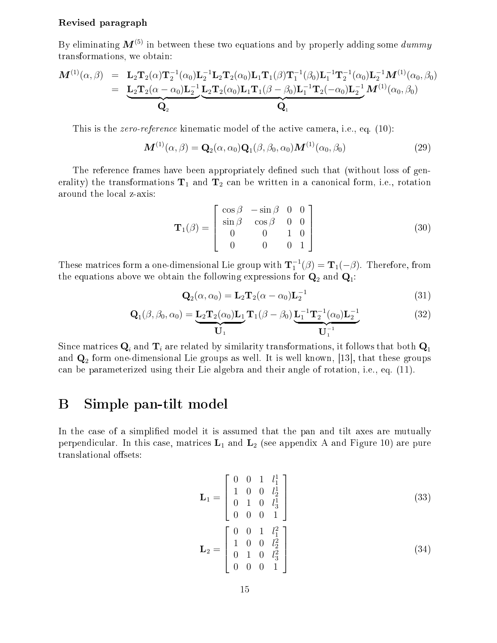### Revised paragraph

By eliminating  $\mathbf{M}^{(5)}$  in between these two equations and by properly adding some dummy transformations, we obtain:

$$
\begin{array}{rcl} \boldsymbol{M}^{(1)}(\alpha,\beta)&=&\mathbf{L}_{2}\mathbf{T}_{2}(\alpha)\mathbf{T}_{2}^{-1}(\alpha_{0})\mathbf{L}_{2}^{-1}\mathbf{L}_{2}\mathbf{T}_{2}(\alpha_{0})\mathbf{L}_{1}\mathbf{T}_{1}(\beta)\mathbf{T}_{1}^{-1}(\beta_{0})\mathbf{L}_{1}^{-1}\mathbf{T}_{2}^{-1}(\alpha_{0})\mathbf{L}_{2}^{-1}\boldsymbol{M}^{(1)}(\alpha_{0},\beta_{0})\\ &=&\underbrace{\mathbf{L}_{2}\mathbf{T}_{2}(\alpha-\alpha_{0})\mathbf{L}_{2}^{-1}}\mathbf{L}_{2}\mathbf{T}_{2}(\alpha_{0})\mathbf{L}_{1}\mathbf{T}_{1}(\beta-\beta_{0})\mathbf{L}_{1}^{-1}\mathbf{T}_{2}(-\alpha_{0})\mathbf{L}_{2}^{-1}}\boldsymbol{M}^{(1)}(\alpha_{0},\beta_{0})\\ &\mathbf{Q}_{1}\end{array}
$$

This is the *zero-reference* kinematic model of the active camera, i.e., eq. (10):

$$
\boldsymbol{M}^{(1)}(\alpha,\beta) = \mathbf{Q}_2(\alpha,\alpha_0)\mathbf{Q}_1(\beta,\beta_0,\alpha_0)\boldsymbol{M}^{(1)}(\alpha_0,\beta_0)
$$
(29)

The reference frames have been appropriately defined such that (without loss of generality) the transformations  $T_1$  and  $T_2$  can be written in a canonical form, i.e., rotation around the lo
al z-axis:

$$
\mathbf{T}_{1}(\beta) = \begin{bmatrix} \cos \beta & -\sin \beta & 0 & 0 \\ \sin \beta & \cos \beta & 0 & 0 \\ 0 & 0 & 1 & 0 \\ 0 & 0 & 0 & 1 \end{bmatrix}
$$
 (30)

These matrices form a one-dimensional Lie group with  $\mathbf{T}_1^{-1}(\beta) = \mathbf{T}_1(-\beta)$ . Therefore, from the equations above we obtain the following expressions for  $\mathbf{Q}_2$  and  $\mathbf{Q}_1$ .

$$
\mathbf{Q}_2(\alpha, \alpha_0) = \mathbf{L}_2 \mathbf{T}_2(\alpha - \alpha_0) \mathbf{L}_2^{-1}
$$
\n(31)

$$
\mathbf{Q}_1(\beta, \beta_0, \alpha_0) = \underbrace{\mathbf{L}_2 \mathbf{T}_2(\alpha_0) \mathbf{L}_1}_{\mathbf{U}_1} \mathbf{T}_1(\beta - \beta_0) \underbrace{\mathbf{L}_1^{-1} \mathbf{T}_2^{-1}(\alpha_0) \mathbf{L}_2^{-1}}_{\mathbf{U}_1^{-1}} \tag{32}
$$

Since matrices  $\mathbf{Q}_i$  and  $\mathbf{T}_i$  are related by similarity transformations, it follows that both  $\mathbf{Q}_1$ and  $\mathbf{Q}_2$  form one-dimensional Lie groups as well. It is well known,  $[15]$ , that these groups an be parameterized using their Lie algebra and their angle of rotation, i.e., eq. (11).

# B Simple pan-tilt model

In the case of a simplified model it is assumed that the pan and tilt axes are mutually perpendicular. In this case, matrices  $L_1$  and  $L_2$  (see appendix A and Figure 10) are pure translational offsets:

$$
\mathbf{L}_{1} = \begin{bmatrix} 0 & 0 & 1 & l_{1}^{1} \\ 1 & 0 & 0 & l_{2}^{1} \\ 0 & 1 & 0 & l_{3}^{1} \\ 0 & 0 & 0 & 1 \end{bmatrix}
$$
(33)  

$$
\mathbf{L}_{2} = \begin{bmatrix} 0 & 0 & 1 & l_{1}^{2} \\ 1 & 0 & 0 & l_{2}^{2} \\ 0 & 1 & 0 & l_{3}^{2} \\ 0 & 0 & 0 & 1 \end{bmatrix}
$$
(34)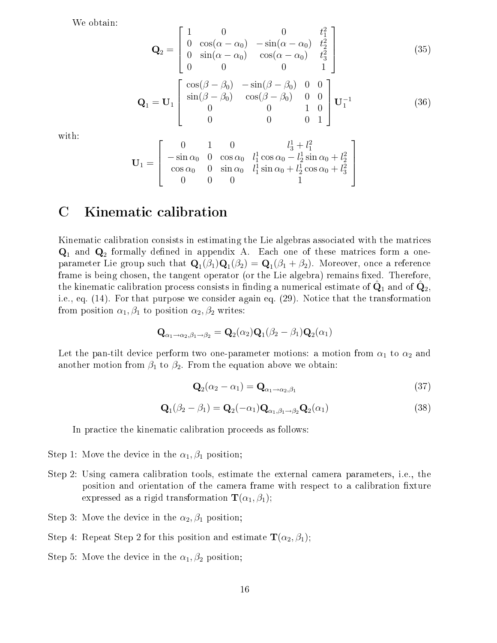We obtain:

$$
\mathbf{Q}_2 = \begin{bmatrix} 1 & 0 & 0 & t_1^2 \\ 0 & \cos(\alpha - \alpha_0) & -\sin(\alpha - \alpha_0) & t_2^2 \\ 0 & \sin(\alpha - \alpha_0) & \cos(\alpha - \alpha_0) & t_3^2 \\ 0 & 0 & 0 & 1 \end{bmatrix}
$$
(35)  

$$
\mathbf{Q}_1 = \mathbf{U}_1 \begin{bmatrix} \cos(\beta - \beta_0) & -\sin(\beta - \beta_0) & 0 & 0 \\ \sin(\beta - \beta_0) & \cos(\beta - \beta_0) & 0 & 0 \\ 0 & 0 & 1 & 0 \\ 0 & 0 & 0 & 1 \end{bmatrix} \mathbf{U}_1^{-1}
$$
(36)

with:

$$
\mathbf{U}_1 = \begin{bmatrix} 0 & 1 & 0 & l_3^1 + l_1^2 \\ -\sin \alpha_0 & 0 & \cos \alpha_0 & l_1^1 \cos \alpha_0 - l_2^1 \sin \alpha_0 + l_2^2 \\ \cos \alpha_0 & 0 & \sin \alpha_0 & l_1^1 \sin \alpha_0 + l_2^1 \cos \alpha_0 + l_3^2 \\ 0 & 0 & 0 & 1 \end{bmatrix}
$$

#### $\overline{C}$ Kinematic calibration

Kinematic calibration consists in estimating the Lie algebras associated with the matrices  $\mathbf{Q}_1$  and  $\mathbf{Q}_2$  formally defined in appendix A. Each one of these matrices form a oneparameter Lie group such that  $\mathbf{Q}_1(\beta_1)\mathbf{Q}_1(\beta_2)=\mathbf{Q}_1(\beta_1+\beta_2)$ . Moreover, once a reference frame is being chosen, the tangent operator (or the Lie algebra) remains fixed. Therefore, the kinematic calibration process consists in finding a numerical estimate of  $\hat{\bf Q}_1$  and of  $\hat{\bf Q}_2$ , i.e., eq. (14). For that purpose we onsider again eq. (29). Noti
e that the transformation from position  $\alpha_1, \beta_1$  to position  $\alpha_2, \beta_2$  writes:

$$
\mathbf{Q}_{\alpha_1\rightarrow\alpha_2,\beta_1\rightarrow\beta_2} = \mathbf{Q}_2(\alpha_2)\mathbf{Q}_1(\beta_2-\beta_1)\mathbf{Q}_2(\alpha_1)
$$

Let the pan-tilt device perform two one-parameter motions: a motion from  $\alpha_1$  to  $\alpha_2$  and another motion from  $\beta_1$  to  $\beta_2$ . From the equation above we obtain:

$$
\mathbf{Q}_2(\alpha_2 - \alpha_1) = \mathbf{Q}_{\alpha_1 \to \alpha_2, \beta_1} \tag{37}
$$

$$
\mathbf{Q}_1(\beta_2 - \beta_1) = \mathbf{Q}_2(-\alpha_1)\mathbf{Q}_{\alpha_1, \beta_1 \to \beta_2} \mathbf{Q}_2(\alpha_1)
$$
\n(38)

In practice the kinematic calibration proceeds as follows:

- Step 1: Move the device in the  $\alpha_1, \beta_1$  position;
- Step 2: Using camera calibration tools, estimate the external camera parameters, i.e., the position and orientation of the camera frame with respect to a calibration fixture expressed as a rigid transformation  $\mathbf{T}(\alpha_1, \beta_1);$
- Step 3: Move the device in the  $\alpha_2, \beta_1$  position;
- Step 4: Repeat Step 2 for this position and estimate  $\mathbf{T}(\alpha_2, \beta_1)$ ;
- Step 5: Move the device in the  $\alpha_1, \beta_2$  position;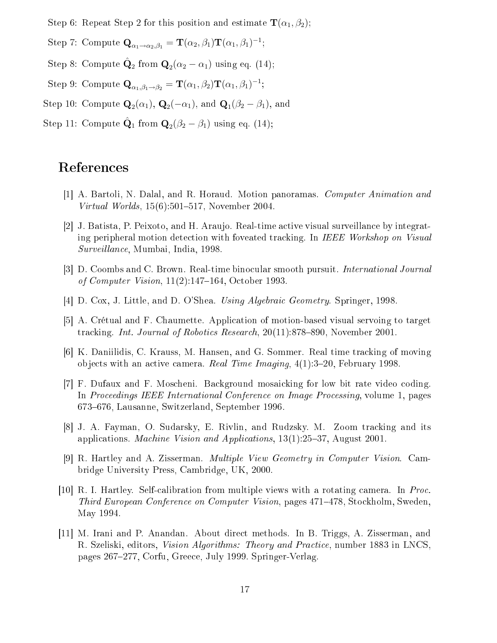Step 6: Repeat Step 2 for this position and estimate  $\mathbf{T}(\alpha_1, \beta_2)$ ;

Step 7: Compute  $\mathbf{Q}_{\alpha_1 \rightarrow \alpha_2,\beta_1} = \mathbf{T}(\alpha_2,\beta_1)\mathbf{T}(\alpha_1,\beta_1)^{-1};$ 

Step 8: Compute  $\hat{\mathbf{Q}}_2$  from  $\mathbf{Q}_2(\alpha_2-\alpha_1)$  using eq. (14);

Step 9: Compute  $\mathbf{Q}_{\alpha_1,\beta_1\alpha_2} = \mathbf{T}(\alpha_1,\beta_2)\mathbf{T}(\alpha_1,\beta_1)^{-1};$ 

Step 10: Compute  $\mathbf{Q}_2(\alpha_1)$ ,  $\mathbf{Q}_2(-\alpha_1)$ , and  $\mathbf{Q}_1(\beta_2-\beta_1)$ , and

Step 11: Compute  $\hat{\mathbf{Q}}_1$  from  $\mathbf{Q}_2(\beta_2-\beta_1)$  using eq. (14);

# Referen
es

- [1] A. Bartoli, N. Dalal, and R. Horaud. Motion panoramas. *Computer Animation and Virtual Worlds*,  $15(6):501-517$ , November 2004.
- [2] J. Batista, P. Peixoto, and H. Araujo. Real-time active visual surveillance by integrating peripheral motion detection with foveated tracking. In IEEE Workshop on Visual Surveillance, Mumbai, India, 1998.
- [3] D. Coombs and C. Brown. Real-time binocular smooth pursuit. International Journal of Computer Vision,  $11(2)$ :147-164, October 1993.
- [4] D. Cox, J. Little, and D. O'Shea. Using Algebraic Geometry. Springer, 1998.
- [5] A. Crétual and F. Chaumette. Application of motion-based visual servoing to target tracking. Int. Journal of Robotics Research,  $20(11)$ :878-890, November 2001.
- [6] K. Daniilidis, C. Krauss, M. Hansen, and G. Sommer. Real time tracking of moving objects with an active camera. Real Time Imaging,  $4(1)$ :3-20, February 1998.
- [7] F. Dufaux and F. Moscheni. Background mosaicking for low bit rate video coding. In Proceedings IEEE International Conference on Image Processing, volume 1, pages 673–676, Lausanne, Switzerland, September 1996.
- [8] J. A. Fayman, O. Sudarsky, E. Rivlin, and Rudzsky. M. Zoom tracking and its applications. *Machine Vision and Applications*,  $13(1)$ :25-37, August 2001.
- [9] R. Hartley and A. Zisserman. *Multiple View Geometry in Computer Vision*. Cambridge University Press, Cambridge, UK, 2000.
- [10] R. I. Hartley. Self-calibration from multiple views with a rotating camera. In *Proc.* Third European Conference on Computer Vision, pages 471–478, Stockholm, Sweden, May 1994.
- [11] M. Irani and P. Anandan. About direct methods. In B. Triggs, A. Zisserman, and R. Szeliski, editors, Vision Algorithms: Theory and Practice, number 1883 in LNCS, pages 267–277, Corfu, Greece, July 1999. Springer-Verlag.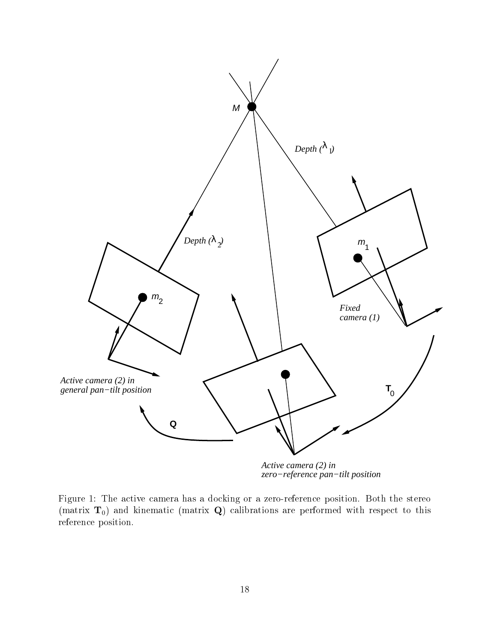

*Active camera (2) in zero−reference pan−tilt position*

Figure 1: The active camera has a docking or a zero-reference position. Both the stereo (matrix  $T_0$ ) and kinematic (matrix  $Q$ ) calibrations are performed with respect to this referen
e position.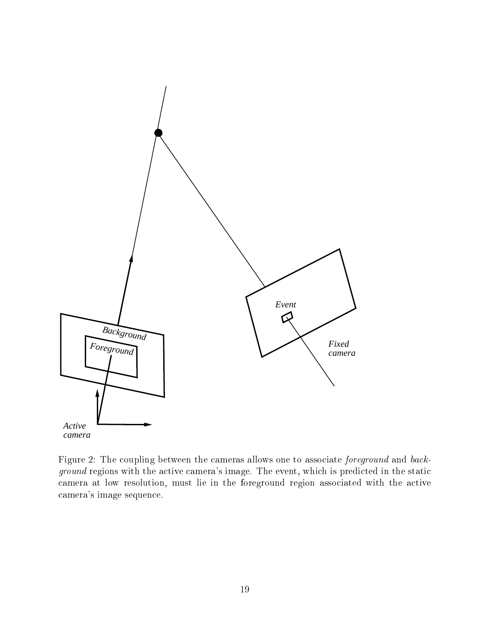![](_page_20_Figure_0.jpeg)

Figure 2: The coupling between the cameras allows one to associate foreground and background regions with the active camera's image. The event, which is predicted in the static camera at low resolution, must lie in the foreground region associated with the active amera's image sequen
e.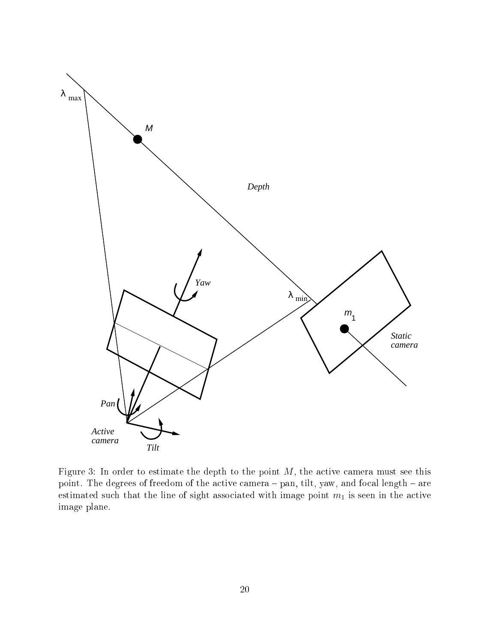![](_page_21_Figure_0.jpeg)

Figure 3: In order to estimate the depth to the point  $M$ , the active camera must see this point. The degrees of freedom of the active camera - pan, tilt, yaw, and focal length - are estimated such that the line of sight associated with image point  $m_1$  is seen in the active image plane.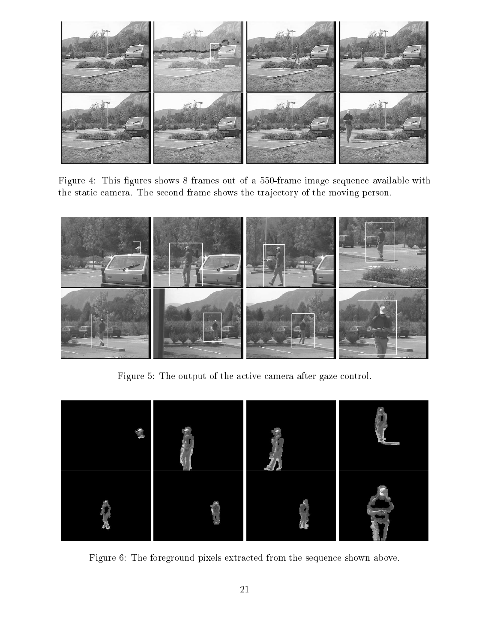![](_page_22_Picture_0.jpeg)

Figure 4: This figures shows 8 frames out of a 550-frame image sequence available with the static camera. The second frame shows the trajectory of the moving person.

![](_page_22_Figure_2.jpeg)

Figure 5: The output of the active camera after gaze control.

![](_page_22_Picture_4.jpeg)

Figure 6: The foreground pixels extracted from the sequence shown above.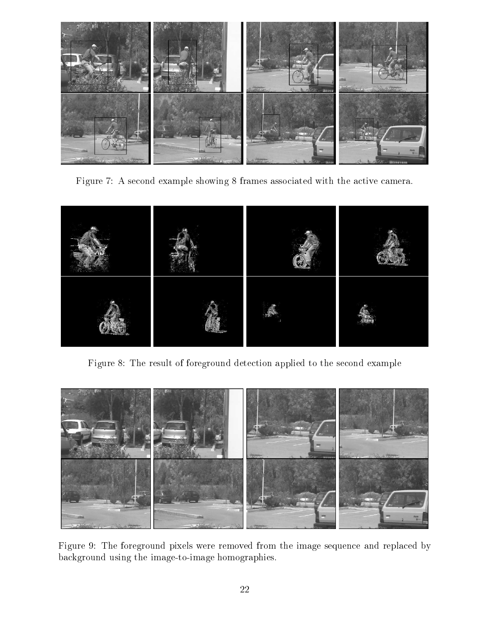![](_page_23_Picture_0.jpeg)

Figure 7: A second example showing 8 frames associated with the active camera.

![](_page_23_Picture_2.jpeg)

Figure 8: The result of foreground detection applied to the second example

![](_page_23_Picture_4.jpeg)

Figure 9: The foreground pixels were removed from the image sequence and replaced by ba
kground using the image-to-image homographies.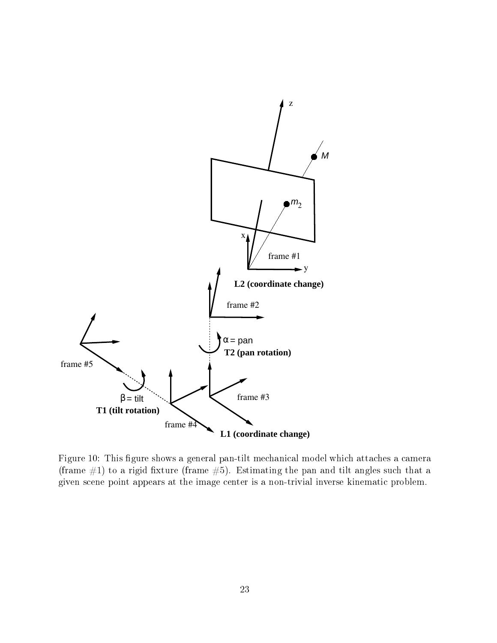![](_page_24_Figure_0.jpeg)

Figure 10: This figure shows a general pan-tilt mechanical model which attaches a camera (frame  $\#1$ ) to a rigid fixture (frame  $\#5$ ). Estimating the pan and tilt angles such that a given s
ene point appears at the image enter is a non-trivial inverse kinemati problem.